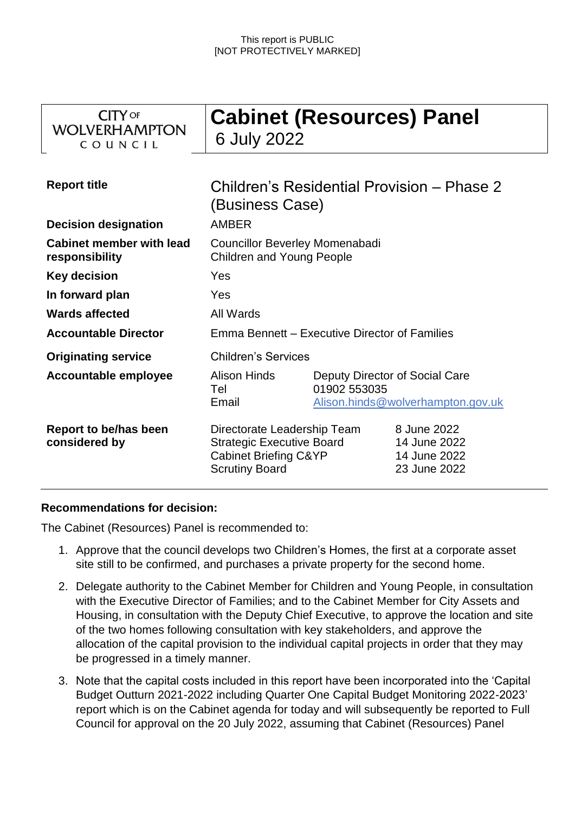| <b>CITY</b> OF<br><b>WOLVERHAMPTON</b><br>COUNCIL | <b>Cabinet (Resources) Panel</b><br>6 July 2022                                                                              |                                                |                                                             |
|---------------------------------------------------|------------------------------------------------------------------------------------------------------------------------------|------------------------------------------------|-------------------------------------------------------------|
| <b>Report title</b>                               | Children's Residential Provision – Phase 2<br>(Business Case)                                                                |                                                |                                                             |
| <b>Decision designation</b>                       | <b>AMBER</b>                                                                                                                 |                                                |                                                             |
| <b>Cabinet member with lead</b><br>responsibility | <b>Councillor Beverley Momenabadi</b><br><b>Children and Young People</b>                                                    |                                                |                                                             |
| <b>Key decision</b>                               | Yes                                                                                                                          |                                                |                                                             |
| In forward plan                                   | Yes                                                                                                                          |                                                |                                                             |
| <b>Wards affected</b>                             | All Wards                                                                                                                    |                                                |                                                             |
| <b>Accountable Director</b>                       | Emma Bennett – Executive Director of Families                                                                                |                                                |                                                             |
| <b>Originating service</b>                        | <b>Children's Services</b>                                                                                                   |                                                |                                                             |
| <b>Accountable employee</b>                       | <b>Alison Hinds</b><br>Tel<br>Email                                                                                          | Deputy Director of Social Care<br>01902 553035 | Alison.hinds@wolverhampton.gov.uk                           |
| Report to be/has been<br>considered by            | Directorate Leadership Team<br><b>Strategic Executive Board</b><br><b>Cabinet Briefing C&amp;YP</b><br><b>Scrutiny Board</b> |                                                | 8 June 2022<br>14 June 2022<br>14 June 2022<br>23 June 2022 |

# **Recommendations for decision:**

The Cabinet (Resources) Panel is recommended to:

- 1. Approve that the council develops two Children's Homes, the first at a corporate asset site still to be confirmed, and purchases a private property for the second home.
- 2. Delegate authority to the Cabinet Member for Children and Young People, in consultation with the Executive Director of Families; and to the Cabinet Member for City Assets and Housing, in consultation with the Deputy Chief Executive, to approve the location and site of the two homes following consultation with key stakeholders, and approve the allocation of the capital provision to the individual capital projects in order that they may be progressed in a timely manner.
- 3. Note that the capital costs included in this report have been incorporated into the 'Capital Budget Outturn 2021-2022 including Quarter One Capital Budget Monitoring 2022-2023' report which is on the Cabinet agenda for today and will subsequently be reported to Full Council for approval on the 20 July 2022, assuming that Cabinet (Resources) Panel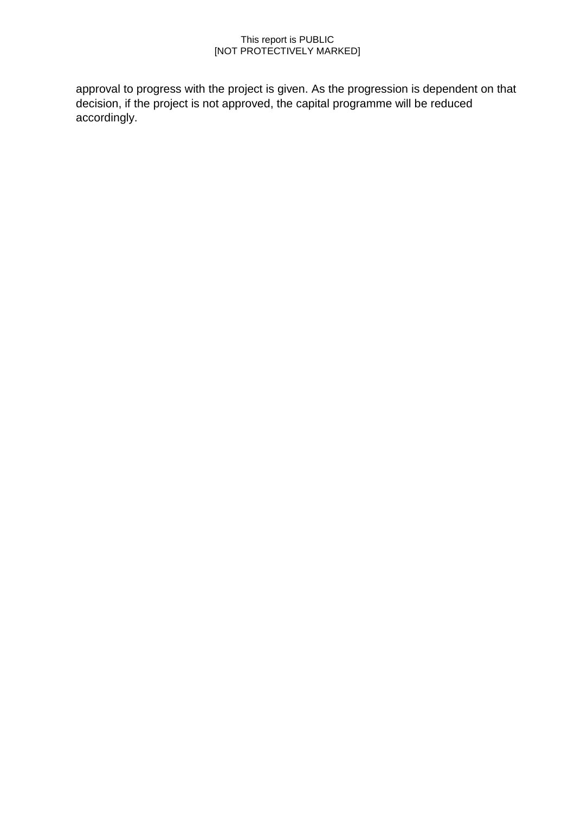approval to progress with the project is given. As the progression is dependent on that decision, if the project is not approved, the capital programme will be reduced accordingly.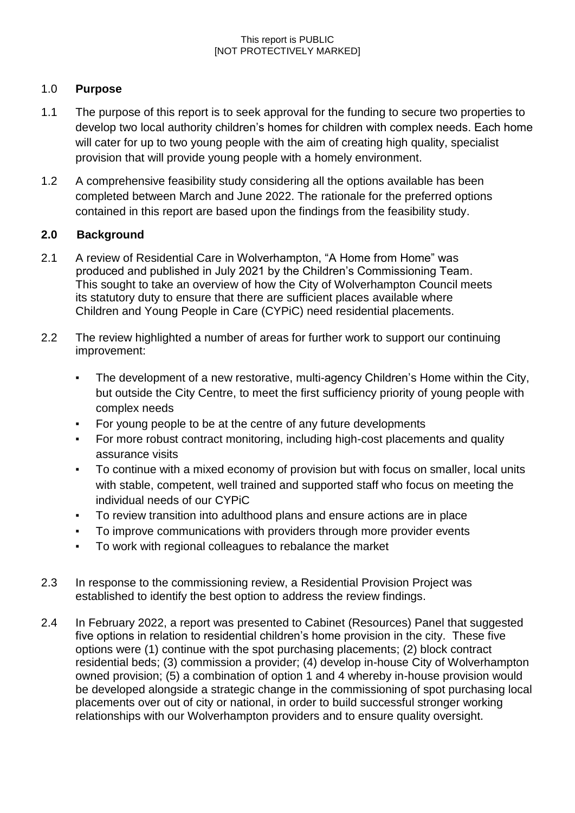# 1.0 **Purpose**

- 1.1 The purpose of this report is to seek approval for the funding to secure two properties to develop two local authority children's homes for children with complex needs. Each home will cater for up to two young people with the aim of creating high quality, specialist provision that will provide young people with a homely environment.
- 1.2 A comprehensive feasibility study considering all the options available has been completed between March and June 2022. The rationale for the preferred options contained in this report are based upon the findings from the feasibility study.

# **2.0 Background**

- 2.1 A review of Residential Care in Wolverhampton, "A Home from Home" was produced and published in July 2021 by the Children's Commissioning Team. This sought to take an overview of how the City of Wolverhampton Council meets its statutory duty to ensure that there are sufficient places available where Children and Young People in Care (CYPiC) need residential placements.
- 2.2 The review highlighted a number of areas for further work to support our continuing improvement:
	- The development of a new restorative, multi-agency Children's Home within the City, but outside the City Centre, to meet the first sufficiency priority of young people with complex needs
	- For young people to be at the centre of any future developments
	- For more robust contract monitoring, including high-cost placements and quality assurance visits
	- To continue with a mixed economy of provision but with focus on smaller, local units with stable, competent, well trained and supported staff who focus on meeting the individual needs of our CYPiC
	- To review transition into adulthood plans and ensure actions are in place
	- To improve communications with providers through more provider events
	- To work with regional colleagues to rebalance the market
- 2.3 In response to the commissioning review, a Residential Provision Project was established to identify the best option to address the review findings.
- 2.4 In February 2022, a report was presented to Cabinet (Resources) Panel that suggested five options in relation to residential children's home provision in the city. These five options were (1) continue with the spot purchasing placements; (2) block contract residential beds; (3) commission a provider; (4) develop in-house City of Wolverhampton owned provision; (5) a combination of option 1 and 4 whereby in-house provision would be developed alongside a strategic change in the commissioning of spot purchasing local placements over out of city or national, in order to build successful stronger working relationships with our Wolverhampton providers and to ensure quality oversight.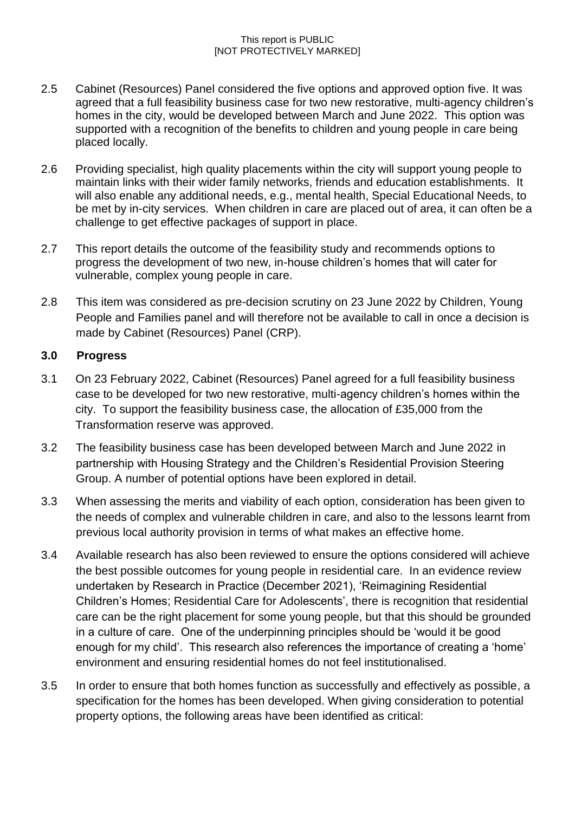- 2.5 Cabinet (Resources) Panel considered the five options and approved option five. It was agreed that a full feasibility business case for two new restorative, multi-agency children's homes in the city, would be developed between March and June 2022. This option was supported with a recognition of the benefits to children and young people in care being placed locally.
- 2.6 Providing specialist, high quality placements within the city will support young people to maintain links with their wider family networks, friends and education establishments. It will also enable any additional needs, e.g., mental health, Special Educational Needs, to be met by in-city services. When children in care are placed out of area, it can often be a challenge to get effective packages of support in place.
- 2.7 This report details the outcome of the feasibility study and recommends options to progress the development of two new, in-house children's homes that will cater for vulnerable, complex young people in care.
- 2.8 This item was considered as pre-decision scrutiny on 23 June 2022 by Children, Young People and Families panel and will therefore not be available to call in once a decision is made by Cabinet (Resources) Panel (CRP).

## **3.0 Progress**

- 3.1 On 23 February 2022, Cabinet (Resources) Panel agreed for a full feasibility business case to be developed for two new restorative, multi-agency children's homes within the city. To support the feasibility business case, the allocation of £35,000 from the Transformation reserve was approved.
- 3.2 The feasibility business case has been developed between March and June 2022 in partnership with Housing Strategy and the Children's Residential Provision Steering Group. A number of potential options have been explored in detail.
- 3.3 When assessing the merits and viability of each option, consideration has been given to the needs of complex and vulnerable children in care, and also to the lessons learnt from previous local authority provision in terms of what makes an effective home.
- 3.4 Available research has also been reviewed to ensure the options considered will achieve the best possible outcomes for young people in residential care. In an evidence review undertaken by Research in Practice (December 2021), 'Reimagining Residential Children's Homes; Residential Care for Adolescents', there is recognition that residential care can be the right placement for some young people, but that this should be grounded in a culture of care. One of the underpinning principles should be 'would it be good enough for my child'. This research also references the importance of creating a 'home' environment and ensuring residential homes do not feel institutionalised.
- 3.5 In order to ensure that both homes function as successfully and effectively as possible, a specification for the homes has been developed. When giving consideration to potential property options, the following areas have been identified as critical: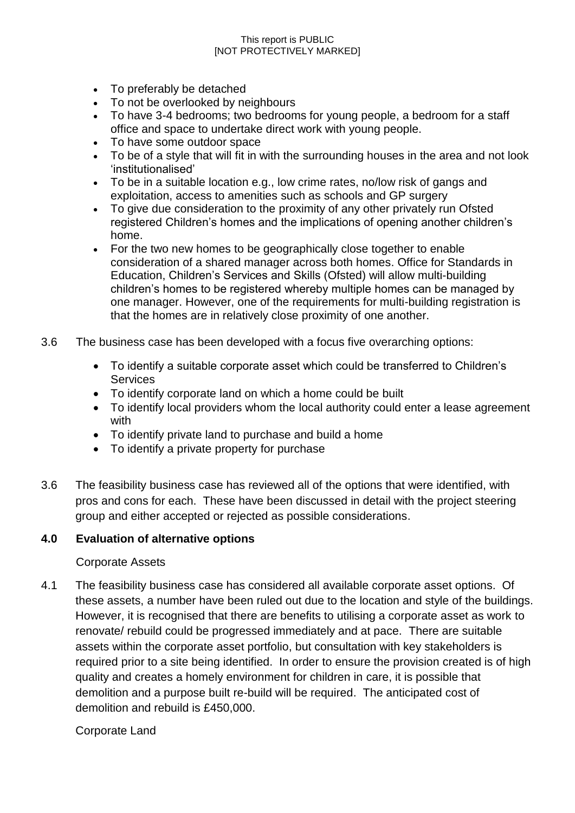- To preferably be detached
- To not be overlooked by neighbours
- To have 3-4 bedrooms; two bedrooms for young people, a bedroom for a staff office and space to undertake direct work with young people.
- To have some outdoor space
- To be of a style that will fit in with the surrounding houses in the area and not look 'institutionalised'
- To be in a suitable location e.g., low crime rates, no/low risk of gangs and exploitation, access to amenities such as schools and GP surgery
- To give due consideration to the proximity of any other privately run Ofsted registered Children's homes and the implications of opening another children's home.
- For the two new homes to be geographically close together to enable consideration of a shared manager across both homes. Office for Standards in Education, Children's Services and Skills (Ofsted) will allow multi-building children's homes to be registered whereby multiple homes can be managed by one manager. However, one of the requirements for multi-building registration is that the homes are in relatively close proximity of one another.
- 3.6 The business case has been developed with a focus five overarching options:
	- To identify a suitable corporate asset which could be transferred to Children's Services
	- To identify corporate land on which a home could be built
	- To identify local providers whom the local authority could enter a lease agreement with
	- To identify private land to purchase and build a home
	- To identify a private property for purchase
- 3.6 The feasibility business case has reviewed all of the options that were identified, with pros and cons for each. These have been discussed in detail with the project steering group and either accepted or rejected as possible considerations.

# **4.0 Evaluation of alternative options**

### Corporate Assets

4.1 The feasibility business case has considered all available corporate asset options. Of these assets, a number have been ruled out due to the location and style of the buildings. However, it is recognised that there are benefits to utilising a corporate asset as work to renovate/ rebuild could be progressed immediately and at pace. There are suitable assets within the corporate asset portfolio, but consultation with key stakeholders is required prior to a site being identified. In order to ensure the provision created is of high quality and creates a homely environment for children in care, it is possible that demolition and a purpose built re-build will be required. The anticipated cost of demolition and rebuild is £450,000.

Corporate Land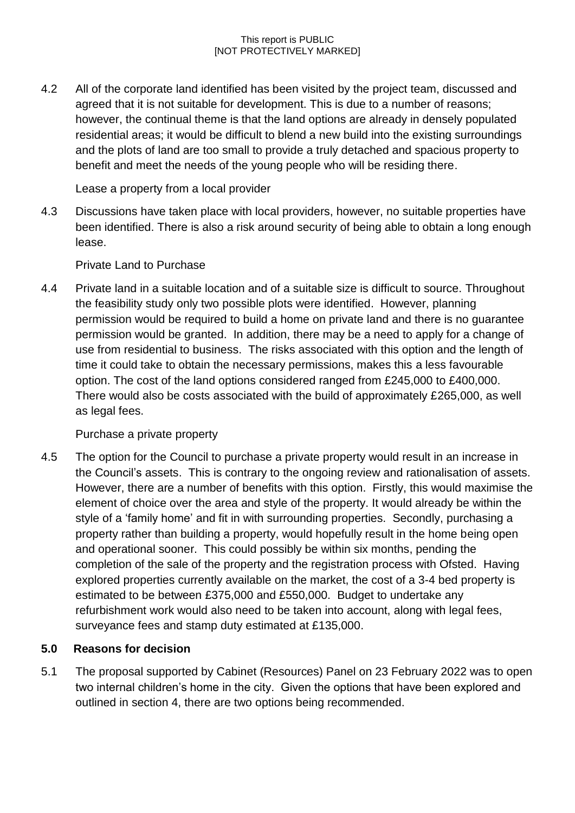4.2 All of the corporate land identified has been visited by the project team, discussed and agreed that it is not suitable for development. This is due to a number of reasons; however, the continual theme is that the land options are already in densely populated residential areas; it would be difficult to blend a new build into the existing surroundings and the plots of land are too small to provide a truly detached and spacious property to benefit and meet the needs of the young people who will be residing there.

Lease a property from a local provider

4.3 Discussions have taken place with local providers, however, no suitable properties have been identified. There is also a risk around security of being able to obtain a long enough lease.

Private Land to Purchase

4.4 Private land in a suitable location and of a suitable size is difficult to source. Throughout the feasibility study only two possible plots were identified. However, planning permission would be required to build a home on private land and there is no guarantee permission would be granted. In addition, there may be a need to apply for a change of use from residential to business. The risks associated with this option and the length of time it could take to obtain the necessary permissions, makes this a less favourable option. The cost of the land options considered ranged from £245,000 to £400,000. There would also be costs associated with the build of approximately £265,000, as well as legal fees.

Purchase a private property

4.5 The option for the Council to purchase a private property would result in an increase in the Council's assets. This is contrary to the ongoing review and rationalisation of assets. However, there are a number of benefits with this option. Firstly, this would maximise the element of choice over the area and style of the property. It would already be within the style of a 'family home' and fit in with surrounding properties. Secondly, purchasing a property rather than building a property, would hopefully result in the home being open and operational sooner. This could possibly be within six months, pending the completion of the sale of the property and the registration process with Ofsted. Having explored properties currently available on the market, the cost of a 3-4 bed property is estimated to be between £375,000 and £550,000. Budget to undertake any refurbishment work would also need to be taken into account, along with legal fees, surveyance fees and stamp duty estimated at £135,000.

# **5.0 Reasons for decision**

5.1 The proposal supported by Cabinet (Resources) Panel on 23 February 2022 was to open two internal children's home in the city. Given the options that have been explored and outlined in section 4, there are two options being recommended.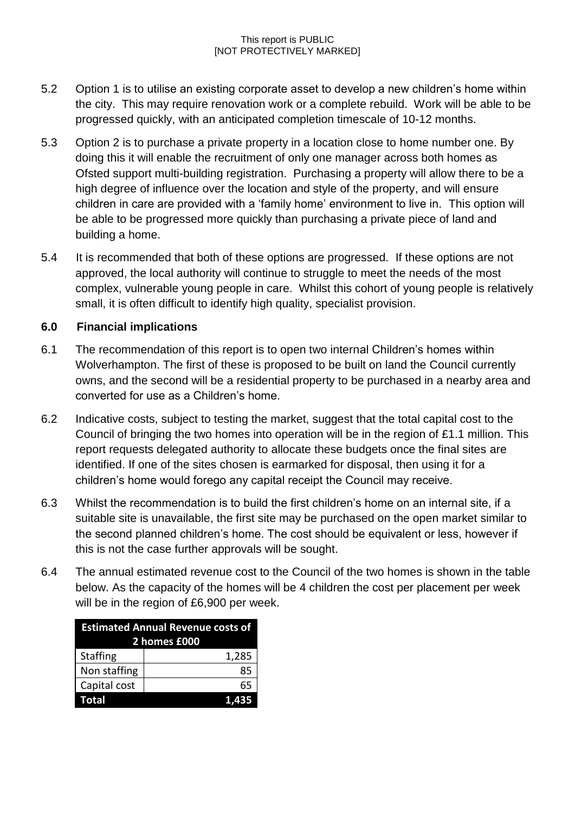- 5.2 Option 1 is to utilise an existing corporate asset to develop a new children's home within the city. This may require renovation work or a complete rebuild. Work will be able to be progressed quickly, with an anticipated completion timescale of 10-12 months.
- 5.3 Option 2 is to purchase a private property in a location close to home number one. By doing this it will enable the recruitment of only one manager across both homes as Ofsted support multi-building registration. Purchasing a property will allow there to be a high degree of influence over the location and style of the property, and will ensure children in care are provided with a 'family home' environment to live in. This option will be able to be progressed more quickly than purchasing a private piece of land and building a home.
- 5.4 It is recommended that both of these options are progressed. If these options are not approved, the local authority will continue to struggle to meet the needs of the most complex, vulnerable young people in care. Whilst this cohort of young people is relatively small, it is often difficult to identify high quality, specialist provision.

# **6.0 Financial implications**

- 6.1 The recommendation of this report is to open two internal Children's homes within Wolverhampton. The first of these is proposed to be built on land the Council currently owns, and the second will be a residential property to be purchased in a nearby area and converted for use as a Children's home.
- 6.2 Indicative costs, subject to testing the market, suggest that the total capital cost to the Council of bringing the two homes into operation will be in the region of £1.1 million. This report requests delegated authority to allocate these budgets once the final sites are identified. If one of the sites chosen is earmarked for disposal, then using it for a children's home would forego any capital receipt the Council may receive.
- 6.3 Whilst the recommendation is to build the first children's home on an internal site, if a suitable site is unavailable, the first site may be purchased on the open market similar to the second planned children's home. The cost should be equivalent or less, however if this is not the case further approvals will be sought.
- 6.4 The annual estimated revenue cost to the Council of the two homes is shown in the table below. As the capacity of the homes will be 4 children the cost per placement per week will be in the region of £6,900 per week.

| <b>Estimated Annual Revenue costs of</b><br>2 homes £000 |       |  |
|----------------------------------------------------------|-------|--|
| <b>Staffing</b>                                          | 1,285 |  |
| Non staffing                                             | 85    |  |
| Capital cost                                             | 65    |  |
| <b>Total</b>                                             | 435   |  |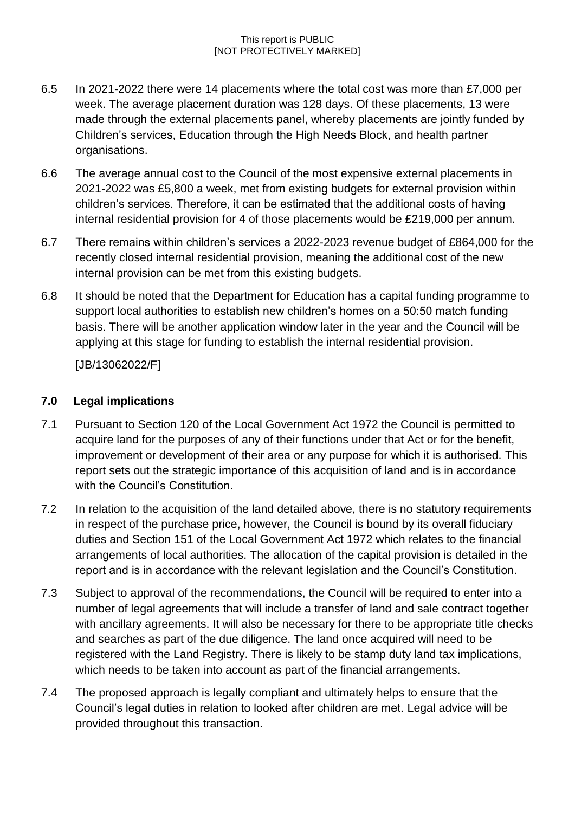- 6.5 In 2021-2022 there were 14 placements where the total cost was more than £7,000 per week. The average placement duration was 128 days. Of these placements, 13 were made through the external placements panel, whereby placements are jointly funded by Children's services, Education through the High Needs Block, and health partner organisations.
- 6.6 The average annual cost to the Council of the most expensive external placements in 2021-2022 was £5,800 a week, met from existing budgets for external provision within children's services. Therefore, it can be estimated that the additional costs of having internal residential provision for 4 of those placements would be £219,000 per annum.
- 6.7 There remains within children's services a 2022-2023 revenue budget of £864,000 for the recently closed internal residential provision, meaning the additional cost of the new internal provision can be met from this existing budgets.
- 6.8 It should be noted that the Department for Education has a capital funding programme to support local authorities to establish new children's homes on a 50:50 match funding basis. There will be another application window later in the year and the Council will be applying at this stage for funding to establish the internal residential provision.

[JB/13062022/F]

# **7.0 Legal implications**

- 7.1 Pursuant to Section 120 of the Local Government Act 1972 the Council is permitted to acquire land for the purposes of any of their functions under that Act or for the benefit, improvement or development of their area or any purpose for which it is authorised. This report sets out the strategic importance of this acquisition of land and is in accordance with the Council's Constitution.
- 7.2 In relation to the acquisition of the land detailed above, there is no statutory requirements in respect of the purchase price, however, the Council is bound by its overall fiduciary duties and Section 151 of the Local Government Act 1972 which relates to the financial arrangements of local authorities. The allocation of the capital provision is detailed in the report and is in accordance with the relevant legislation and the Council's Constitution.
- 7.3 Subject to approval of the recommendations, the Council will be required to enter into a number of legal agreements that will include a transfer of land and sale contract together with ancillary agreements. It will also be necessary for there to be appropriate title checks and searches as part of the due diligence. The land once acquired will need to be registered with the Land Registry. There is likely to be stamp duty land tax implications, which needs to be taken into account as part of the financial arrangements.
- 7.4 The proposed approach is legally compliant and ultimately helps to ensure that the Council's legal duties in relation to looked after children are met. Legal advice will be provided throughout this transaction.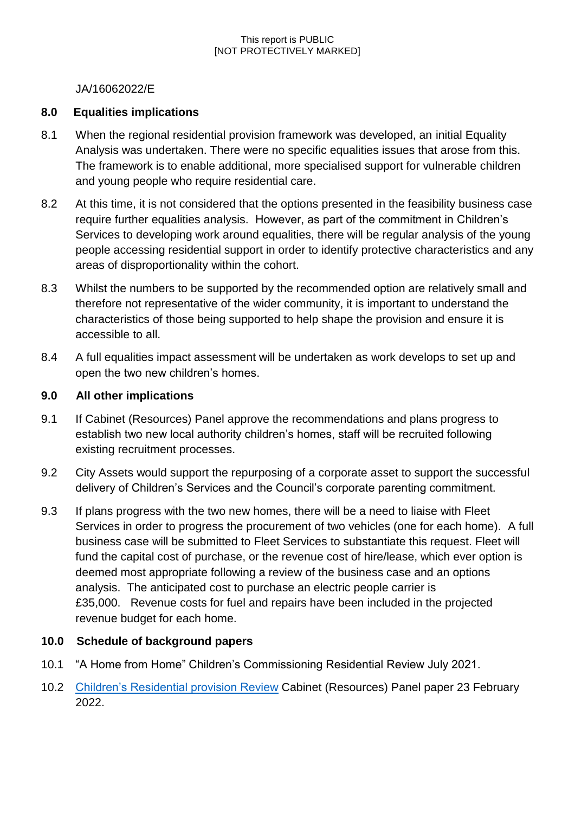## JA/16062022/E

## **8.0 Equalities implications**

- 8.1 When the regional residential provision framework was developed, an initial Equality Analysis was undertaken. There were no specific equalities issues that arose from this. The framework is to enable additional, more specialised support for vulnerable children and young people who require residential care.
- 8.2 At this time, it is not considered that the options presented in the feasibility business case require further equalities analysis. However, as part of the commitment in Children's Services to developing work around equalities, there will be regular analysis of the young people accessing residential support in order to identify protective characteristics and any areas of disproportionality within the cohort.
- 8.3 Whilst the numbers to be supported by the recommended option are relatively small and therefore not representative of the wider community, it is important to understand the characteristics of those being supported to help shape the provision and ensure it is accessible to all.
- 8.4 A full equalities impact assessment will be undertaken as work develops to set up and open the two new children's homes.

## **9.0 All other implications**

- 9.1 If Cabinet (Resources) Panel approve the recommendations and plans progress to establish two new local authority children's homes, staff will be recruited following existing recruitment processes.
- 9.2 City Assets would support the repurposing of a corporate asset to support the successful delivery of Children's Services and the Council's corporate parenting commitment.
- 9.3 If plans progress with the two new homes, there will be a need to liaise with Fleet Services in order to progress the procurement of two vehicles (one for each home). A full business case will be submitted to Fleet Services to substantiate this request. Fleet will fund the capital cost of purchase, or the revenue cost of hire/lease, which ever option is deemed most appropriate following a review of the business case and an options analysis. The anticipated cost to purchase an electric people carrier is £35,000. Revenue costs for fuel and repairs have been included in the projected revenue budget for each home.

# **10.0 Schedule of background papers**

- 10.1 "A Home from Home" Children's Commissioning Residential Review July 2021.
- 10.2 [Children's Residential provision Review](https://wolverhampton.moderngov.co.uk/ieListDocuments.aspx?CId=143&MId=16167&Ver=4) Cabinet (Resources) Panel paper 23 February 2022.